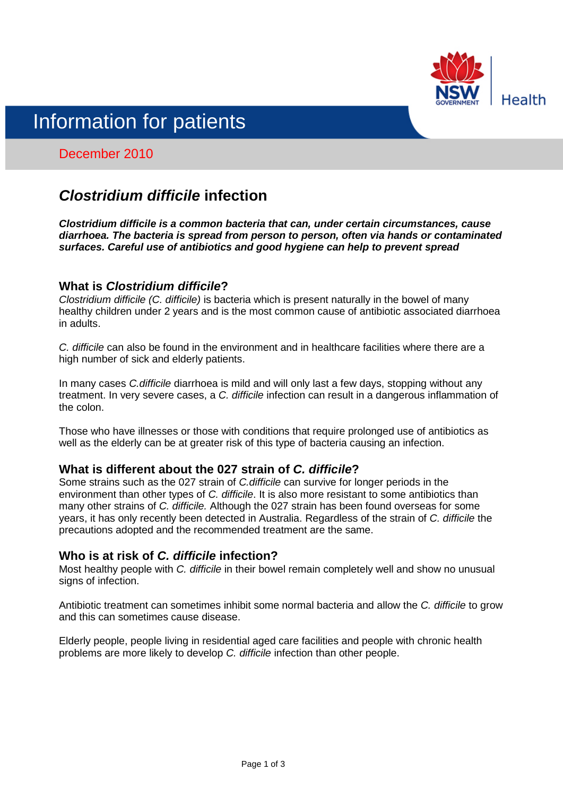

# Information for patients

# December 2010

# *Clostridium difficile* **infection**

*Clostridium difficile is a common bacteria that can, under certain circumstances, cause diarrhoea. The bacteria is spread from person to person, often via hands or contaminated surfaces. Careful use of antibiotics and good hygiene can help to prevent spread*

#### **What is** *Clostridium difficile***?**

*Clostridium difficile (C. difficile)* is bacteria which is present naturally in the bowel of many healthy children under 2 years and is the most common cause of antibiotic associated diarrhoea in adults.

*C. difficile* can also be found in the environment and in healthcare facilities where there are a high number of sick and elderly patients.

In many cases *C.difficile* diarrhoea is mild and will only last a few days, stopping without any treatment. In very severe cases, a *C. difficile* infection can result in a dangerous inflammation of the colon.

Those who have illnesses or those with conditions that require prolonged use of antibiotics as well as the elderly can be at greater risk of this type of bacteria causing an infection.

# **What is different about the 027 strain of** *C. difficile***?**

Some strains such as the 027 strain of *C.difficile* can survive for longer periods in the environment than other types of *C. difficile*. It is also more resistant to some antibiotics than many other strains of *C. difficile.* Although the 027 strain has been found overseas for some years, it has only recently been detected in Australia. Regardless of the strain of *C. difficile* the precautions adopted and the recommended treatment are the same.

#### **Who is at risk of** *C. difficile* **infection?**

Most healthy people with *C. difficile* in their bowel remain completely well and show no unusual signs of infection.

Antibiotic treatment can sometimes inhibit some normal bacteria and allow the *C. difficile* to grow and this can sometimes cause disease.

Elderly people, people living in residential aged care facilities and people with chronic health problems are more likely to develop *C. difficile* infection than other people.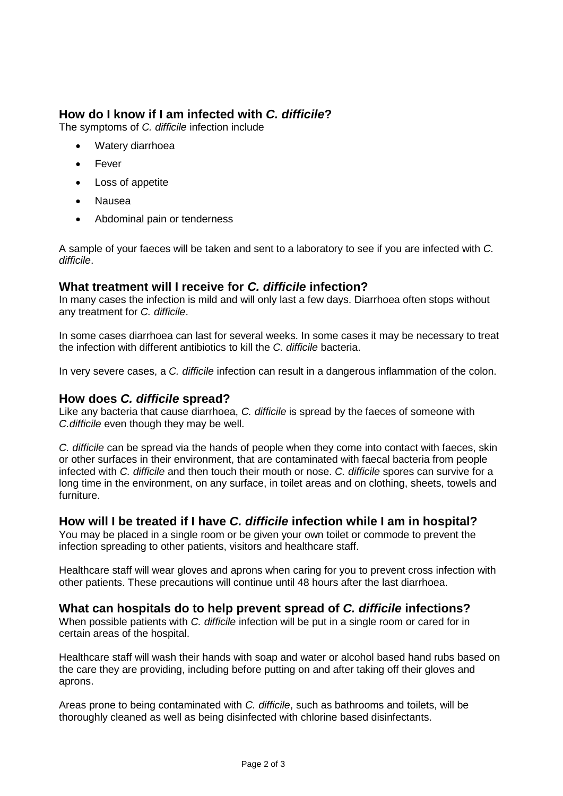# **How do I know if I am infected with** *C. difficile***?**

The symptoms of *C. difficile* infection include

- Watery diarrhoea
- Fever
- Loss of appetite
- Nausea
- Abdominal pain or tenderness

A sample of your faeces will be taken and sent to a laboratory to see if you are infected with *C. difficile*.

#### **What treatment will I receive for** *C. difficile* **infection?**

In many cases the infection is mild and will only last a few days. Diarrhoea often stops without any treatment for *C. difficile*.

In some cases diarrhoea can last for several weeks. In some cases it may be necessary to treat the infection with different antibiotics to kill the *C. difficile* bacteria.

In very severe cases, a *C. difficile* infection can result in a dangerous inflammation of the colon.

#### **How does** *C. difficile* **spread?**

Like any bacteria that cause diarrhoea, *C. difficile* is spread by the faeces of someone with *C.difficile* even though they may be well.

*C. difficile* can be spread via the hands of people when they come into contact with faeces, skin or other surfaces in their environment, that are contaminated with faecal bacteria from people infected with *C. difficile* and then touch their mouth or nose. *C. difficile* spores can survive for a long time in the environment, on any surface, in toilet areas and on clothing, sheets, towels and furniture.

#### **How will I be treated if I have** *C. difficile* **infection while I am in hospital?**

You may be placed in a single room or be given your own toilet or commode to prevent the infection spreading to other patients, visitors and healthcare staff.

Healthcare staff will wear gloves and aprons when caring for you to prevent cross infection with other patients. These precautions will continue until 48 hours after the last diarrhoea.

#### **What can hospitals do to help prevent spread of** *C. difficile* **infections?**

When possible patients with *C. difficile* infection will be put in a single room or cared for in certain areas of the hospital.

Healthcare staff will wash their hands with soap and water or alcohol based hand rubs based on the care they are providing, including before putting on and after taking off their gloves and aprons.

Areas prone to being contaminated with *C. difficile*, such as bathrooms and toilets, will be thoroughly cleaned as well as being disinfected with chlorine based disinfectants.